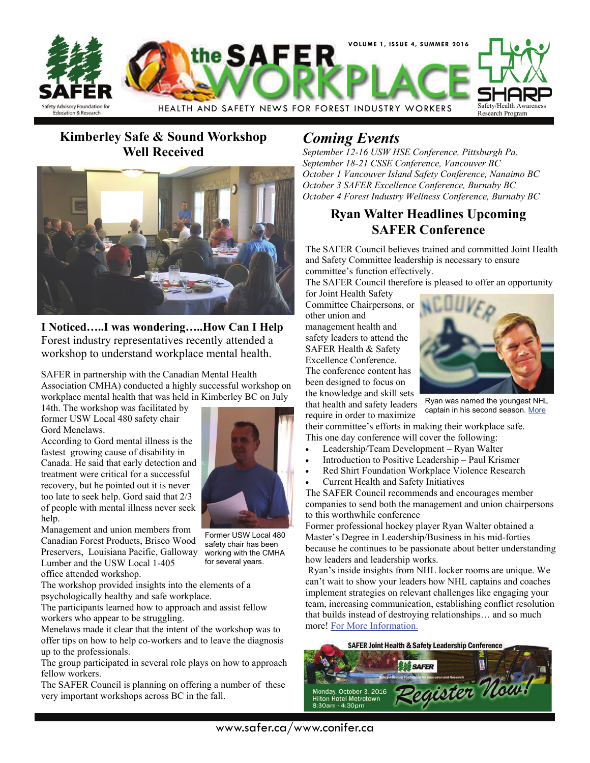

### **Kimberley Safe & Sound Workshop Well Received**



**I Noticed…..I was wondering…..How Can I Help**  Forest industry representatives recently attended a workshop to understand workplace mental health.

SAFER in partnership with the Canadian Mental Health Association CMHA) conducted a highly successful workshop on workplace mental health that was held in Kimberley BC on July

14th. The workshop was facilitated by former USW Local 480 safety chair Gord Menelaws.

According to Gord mental illness is the fastest growing cause of disability in Canada. He said that early detection and treatment were critical for a successful recovery, but he pointed out it is never too late to seek help. Gord said that 2/3 of people with mental illness never seek help.

Management and union members from

Canadian Forest Products, Brisco Wood Preservers, Louisiana Pacific, Galloway Lumber and the USW Local 1-405 office attended workshop. Former USW Local 480 safety chair has been working with the CMHA for several years.

The workshop provided insights into the elements of a psychologically healthy and safe workplace.

The participants learned how to approach and assist fellow workers who appear to be struggling.

Menelaws made it clear that the intent of the workshop was to offer tips on how to help co-workers and to leave the diagnosis up to the professionals.

The group participated in several role plays on how to approach fellow workers.

The SAFER Council is planning on offering a number of these very important workshops across BC in the fall.

## *Coming Events*

*September 12-16 USW HSE Conference, Pittsburgh Pa. September 18-21 CSSE Conference, Vancouver BC October 1 Vancouver Island Safety Conference, Nanaimo BC October 3 SAFER Excellence Conference, Burnaby BC October 4 Forest Industry Wellness Conference, Burnaby BC* 

#### **Ryan Walter Headlines Upcoming SAFER Conference**

The SAFER Council believes trained and committed Joint Health and Safety Committee leadership is necessary to ensure committee's function effectively.

The SAFER Council therefore is pleased to offer an opportunity

for Joint Health Safety Committee Chairpersons, or other union and management health and safety leaders to attend the SAFER Health & Safety Excellence Conference. The conference content has been designed to focus on the knowledge and skill sets

that health and safety leaders require in order to maximize



Ryan was named the youngest NHL captain in his second season. [More](http://ryanwalter.com/leadership-development/)

their committee's efforts in making their workplace safe. This one day conference will cover the following:

- Leadership/Team Development Ryan Walter
- Introduction to Positive Leadership Paul Krismer
- Red Shirt Foundation Workplace Violence Research
- Current Health and Safety Initiatives

The SAFER Council recommends and encourages member companies to send both the management and union chairpersons to this worthwhile conference

Former professional hockey player Ryan Walter obtained a Master's Degree in Leadership/Business in his mid-forties because he continues to be passionate about better understanding how leaders and leadership works.

 Ryan's inside insights from NHL locker rooms are unique. We can't wait to show your leaders how NHL captains and coaches implement strategies on relevant challenges like engaging your team, increasing communication, establishing conflict resolution that builds instead of destroying relationships… and so much more! [For More Information.](http://www.safer.ca/safer_conference.htm)